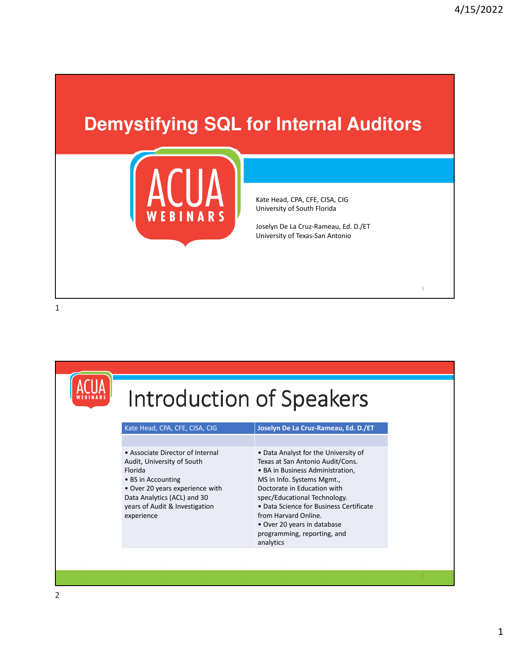1

## **Demystifying SQL for Internal Auditors**



Kate Head, CPA, CFE, CISA, CIG University of South Florida

Joselyn De La Cruz-Rameau, Ed. D./ET University of Texas-San Antonio

|                                                                                                                                                                                                                   | Introduction of Speakers                                                                                                                                                                                                                                                                                                                                |  |  |  |  |  |
|-------------------------------------------------------------------------------------------------------------------------------------------------------------------------------------------------------------------|---------------------------------------------------------------------------------------------------------------------------------------------------------------------------------------------------------------------------------------------------------------------------------------------------------------------------------------------------------|--|--|--|--|--|
| Kate Head, CPA, CFE, CISA, CIG                                                                                                                                                                                    | Joselyn De La Cruz-Rameau, Ed. D./ET                                                                                                                                                                                                                                                                                                                    |  |  |  |  |  |
| • Associate Director of Internal<br>Audit, University of South<br>Florida<br>• BS in Accounting<br>• Over 20 years experience with<br>Data Analytics (ACL) and 30<br>years of Audit & Investigation<br>experience | • Data Analyst for the University of<br>Texas at San Antonio Audit/Cons.<br>• BA in Business Administration,<br>MS in Info. Systems Mgmt.,<br>Doctorate in Education with<br>spec/Educational Technology.<br>• Data Science for Business Certificate<br>from Harvard Online.<br>• Over 20 years in database<br>programming, reporting, and<br>analytics |  |  |  |  |  |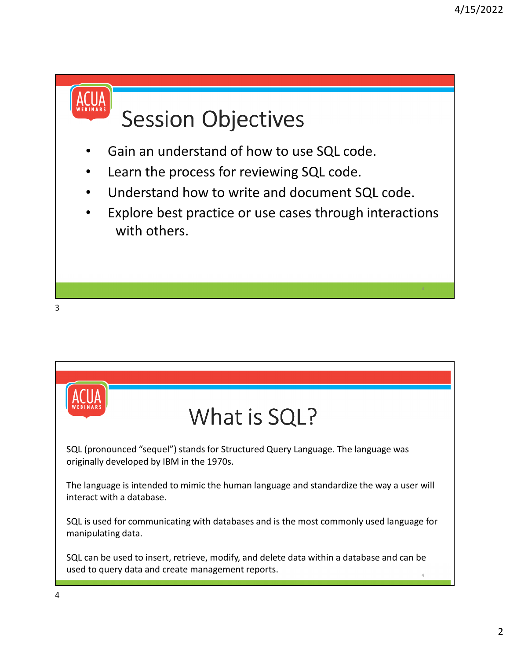# **Session Objectives**

- Gain an understand of how to use SQL code.
- Learn the process for reviewing SQL code.
- Understand how to write and document SQL code.
- Explore best practice or use cases through interactions with others.

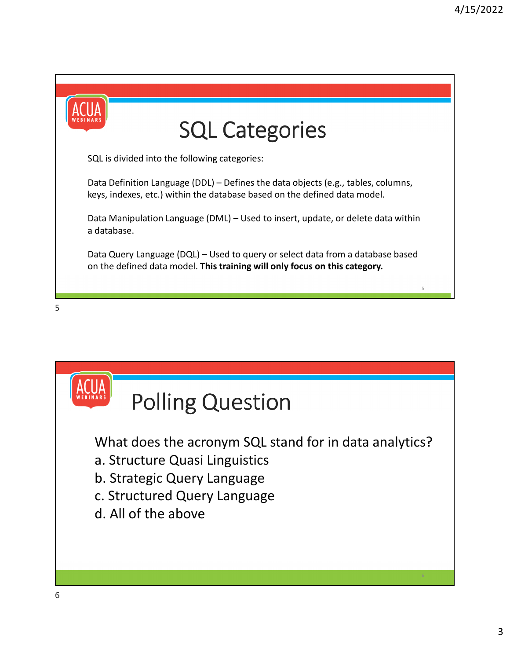



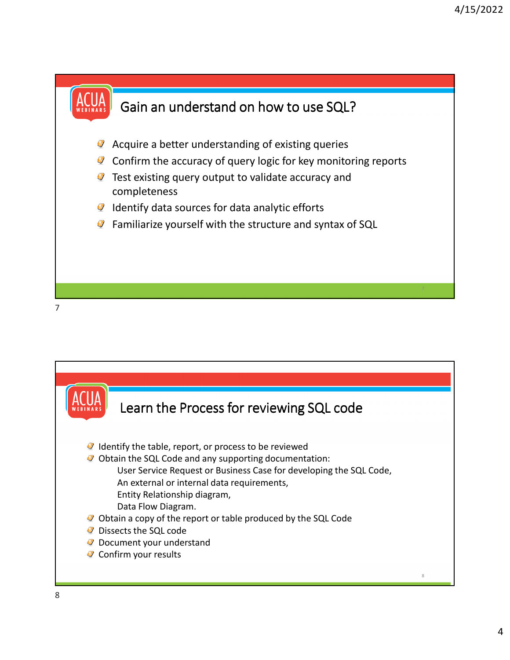



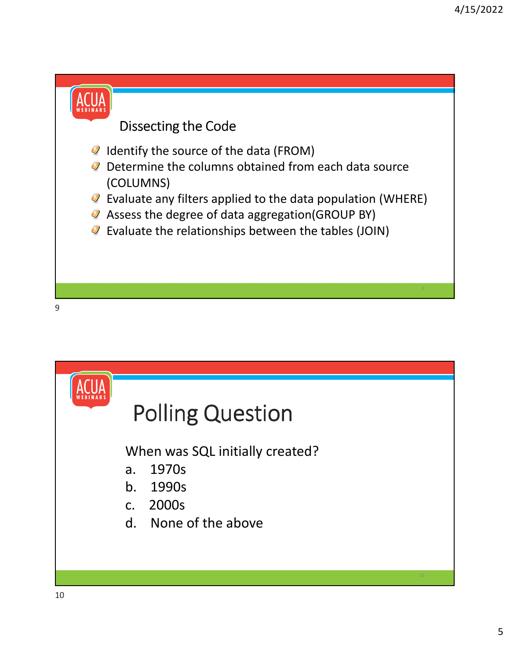



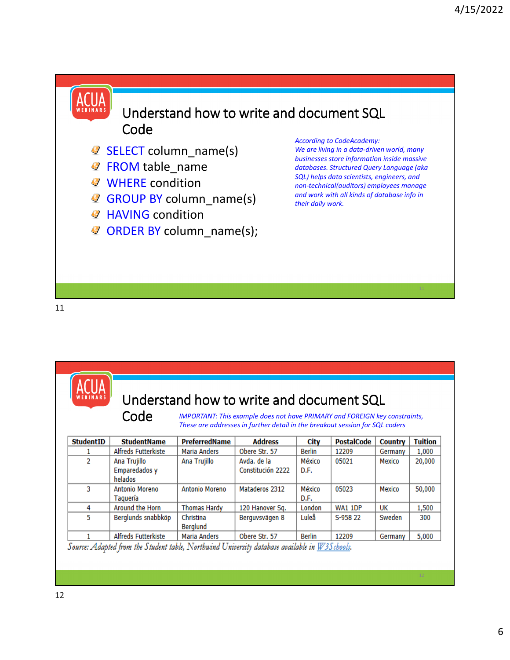#### Understand how to write and document SQL Code

- SELECT column name(s)
- **P** FROM table name
- **WHERE** condition
- GROUP BY column\_name(s)
- **HAVING condition**
- ORDER BY column\_name(s);

*According to CodeAcademy:* 

*We are living in a data-driven world, many businesses store information inside massive databases. Structured Query Language (aka SQL) helps data scientists, engineers, and non-technical(auditors) employees manage and work with all kinds of database info in their daily work.* 

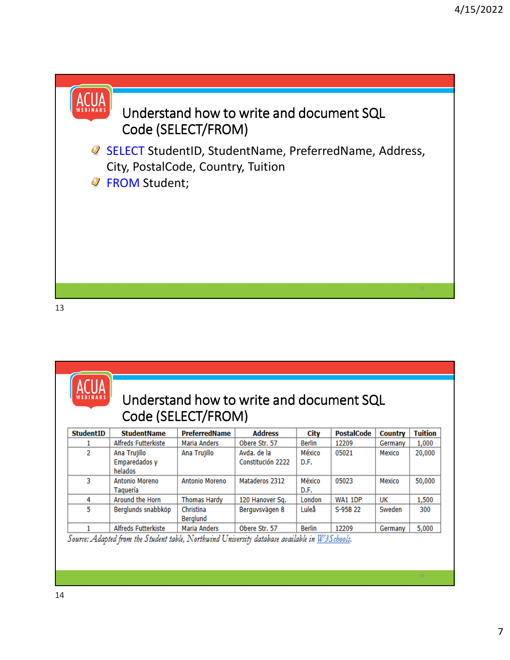### Understand how to write and document SQL Code (SELECT/FROM)

**■ SELECT StudentID, StudentName, PreferredName, Address,** City, PostalCode, Country, Tuition **P** FROM Student;

13

### Understand how to write and document SQL Code (SELECT/FROM)

| <b>StudentID</b> | <b>StudentName</b>                       | PreferredName         | <b>Address</b>                   | City           | <b>PostalCode</b> | <b>Country</b> | <b>Tuition</b> |
|------------------|------------------------------------------|-----------------------|----------------------------------|----------------|-------------------|----------------|----------------|
|                  | Alfreds Futterkiste                      | Maria Anders          | Obere Str. 57                    | Berlin         | 12209             | Germany        | 1,000          |
| 2                | Ana Trujillo<br>Emparedados y<br>helados | Ana Trujillo          | Avda, de la<br>Constitución 2222 | México<br>D.F. | 05021             | Mexico         | 20,000         |
| 3                | Antonio Moreno<br>Taguería               | Antonio Moreno        | Mataderos 2312                   | México<br>D.F. | 05023             | Mexico         | 50,000         |
| 4                | Around the Horn                          | <b>Thomas Hardy</b>   | 120 Hanover Sq.                  | London         | <b>WA1 1DP</b>    | UK             | 1,500          |
| 5                | Berglunds snabbköp                       | Christina<br>Berglund | Berguvsvägen 8                   | Luleå          | S-958 22          | Sweden         | 300            |
|                  | Alfreds Futterkiste                      | Maria Anders          | Obere Str. 57                    | Berlin         | 12209             | Germany        | 5,000          |

Source: Adapted from the Student table, Northwind University database available in  $W3S$ chools.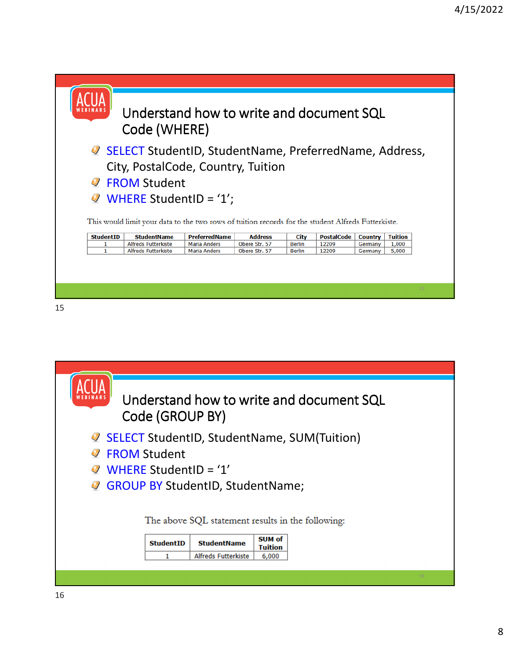

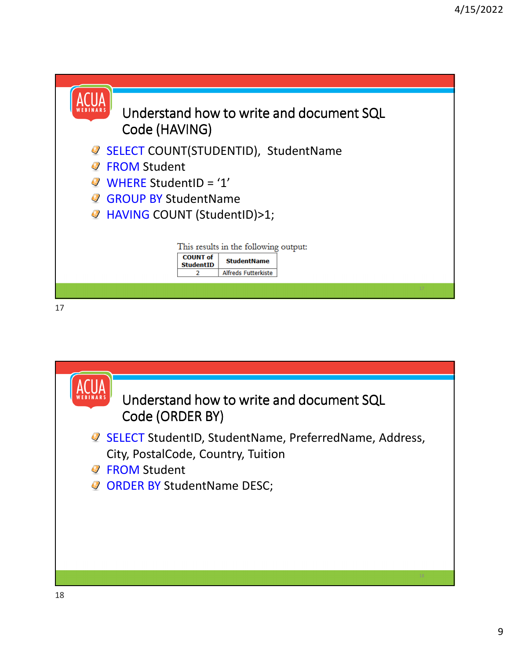

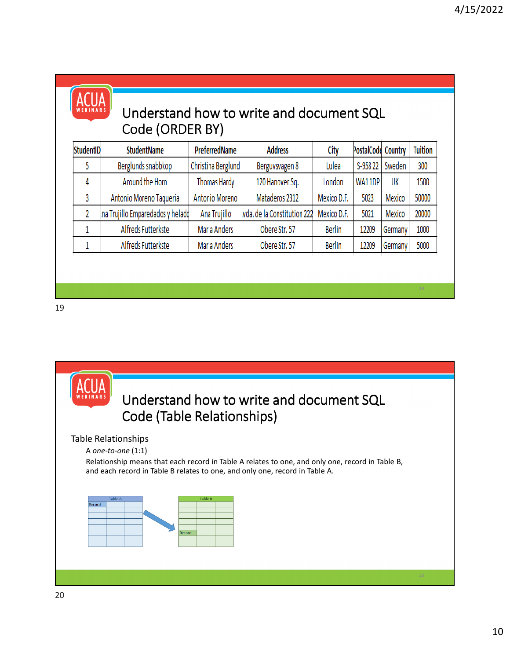

### Understand how to write and document SQL Code (ORDER BY)

| <b>StudentID</b> | <b>StudentName</b>               | PreferredName      | <b>Address</b>              | City          | PostalCode Country |         | <b>Tuition</b> |
|------------------|----------------------------------|--------------------|-----------------------------|---------------|--------------------|---------|----------------|
|                  | Berglunds snabbkop               | Christina Berglund | Berguvsvagen 8              | Lulea         | S-958 22           | Sweden  | 300            |
| 4                | Around the Horn                  | Thomas Hardy       | 120 Hanover Sq.             | London        | WA11DP             | UK      | 1500           |
|                  | Antonio Moreno Taqueria          | Antonio Moreno     | Mataderos 2312              | Mexico D.F.   | 5023               | Mexico  | 50000          |
|                  | na Trujillo Emparedados y helado | Ana Trujillo       | vda. de la Constitution 222 | Mexico D.F.   | 5021               | Mexico  | 20000          |
|                  | Alfreds Futterkste               | Maria Anders       | Obere Str. 57               | <b>Berlin</b> | 12209              | Germany | 1000           |
|                  | Alfreds Futterkste               | Maria Anders       | Obere Str. 57               | <b>Berlin</b> | 12209              | Germany | 5000           |

### Understand how to write and document SQL Code (Table Relationships)

#### Table Relationships

A *one-to-one* (1:1)

Relationship means that each record in Table A relates to one, and only one, record in Table B, and each record in Table B relates to one, and only one, record in Table A.

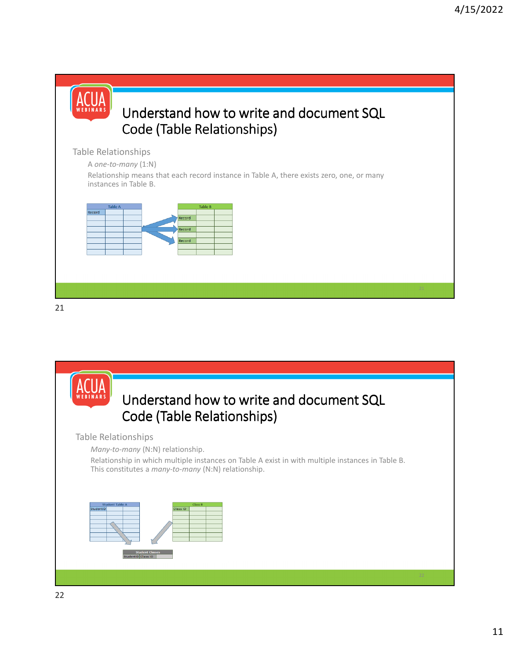

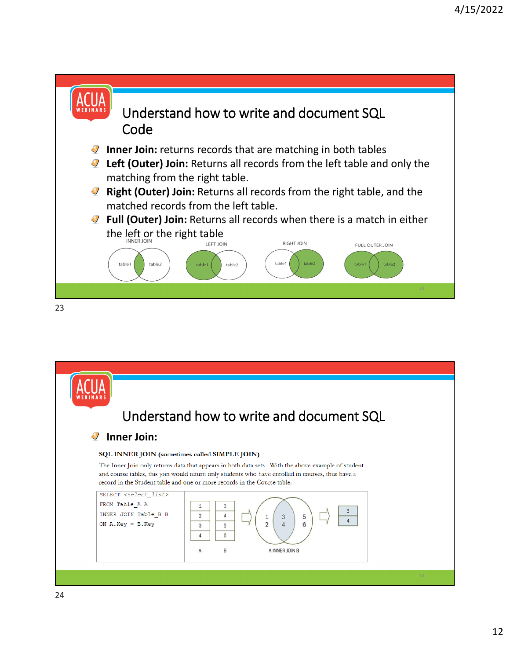![](_page_11_Figure_1.jpeg)

![](_page_11_Picture_2.jpeg)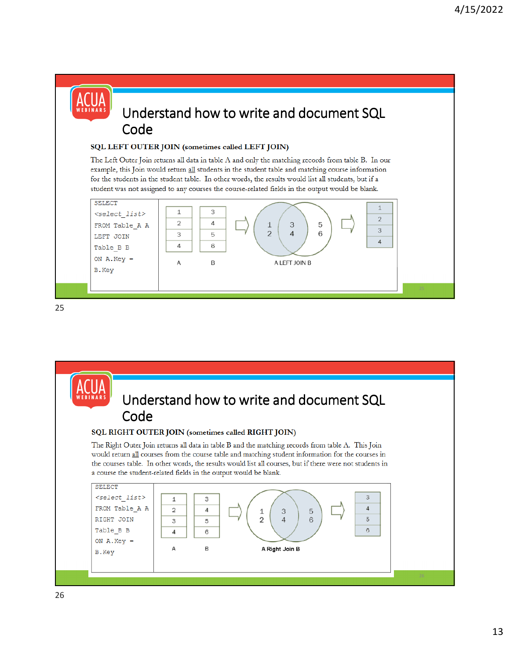#### Understand how to write and document SQL Code **SQL LEFT OUTER JOIN (sometimes called LEFT JOIN)**<br>The Left Outer Join returns all data in table A and only the matching records from table B. In our example, this Join would return all students in the student table and matching course information for the students in the student table. In other words, the results would list all students, but if a student was not assigned to any courses the course-related fields in the output would be blank. SELECT  $\mathbf{1}$  $\,1\,$ 3 <select list>  $\overline{2}$  $\overline{2}$  $\overline{4}$ FROM Table\_A A 3 5  $\perp$  $\overline{3}$  $\overline{2}$ 3 5  $\Lambda$ 6 LEFT JOIN  $\overline{A}$  $\overline{4}$ 6 Table\_B B ON  $A.Key =$ B A LEFT JOIN B A B.Key

![](_page_12_Picture_3.jpeg)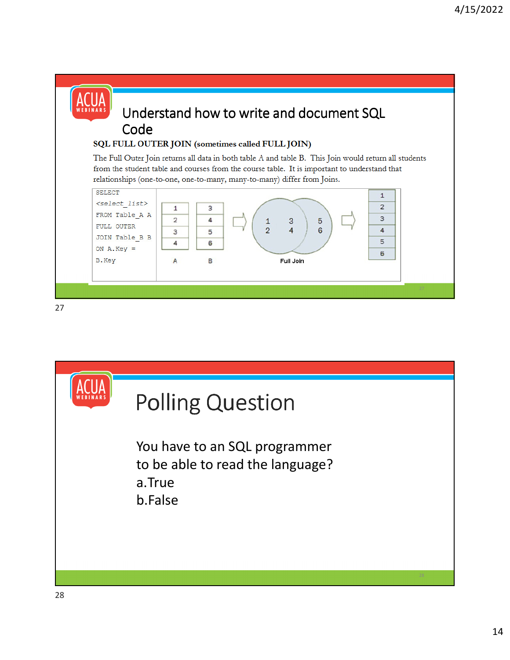![](_page_13_Figure_1.jpeg)

![](_page_13_Picture_3.jpeg)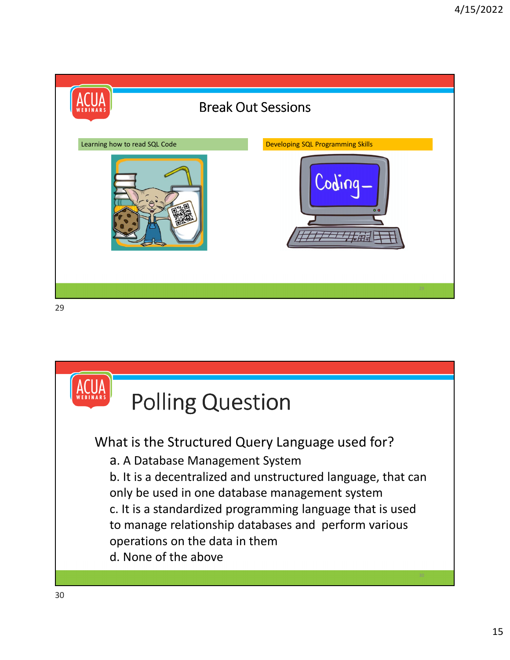![](_page_14_Picture_1.jpeg)

![](_page_14_Picture_2.jpeg)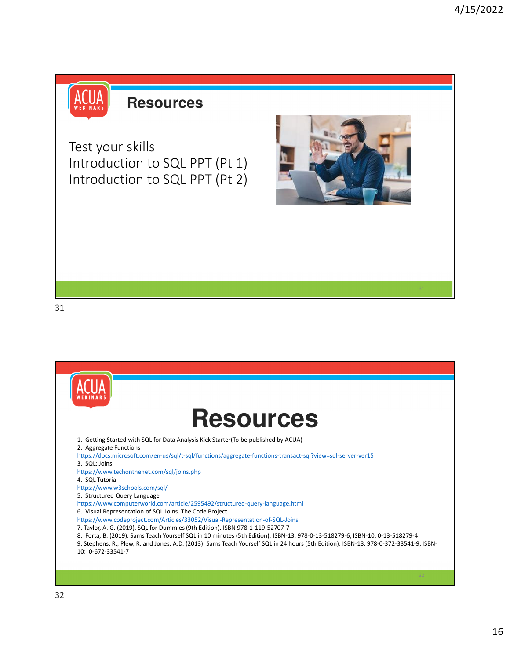![](_page_15_Picture_1.jpeg)

## **Resources**

Test your skills Introduction to SQL PPT (Pt 1) Introduction to SQL PPT (Pt 2)

![](_page_15_Picture_4.jpeg)

![](_page_15_Picture_6.jpeg)